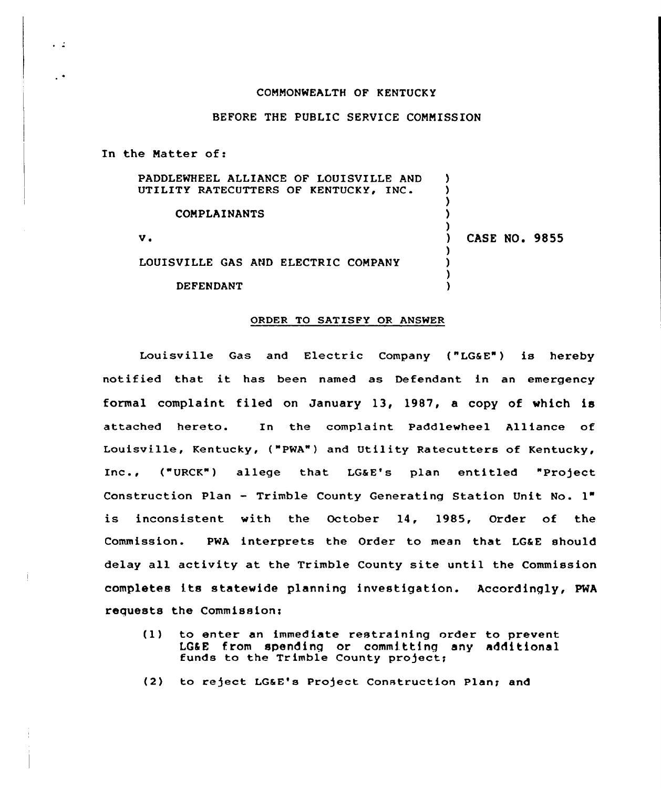## COMMONWEALTH OF KENTUCKY

## BEFORE THE PUBLIC SERVICE COMMISSION

In the Matter of:

 $\sim$   $\frac{1}{2}$ 

 $\ddot{\phantom{0}}$ 

| PADDLEWHEEL ALLIANCE OF LOUISVILLE AND<br>UTILITY RATECUTTERS OF KENTUCKY, INC. |                      |
|---------------------------------------------------------------------------------|----------------------|
| <b>COMPLAINANTS</b>                                                             |                      |
| v.                                                                              | <b>CASE NO. 9855</b> |
| LOUISVILLE GAS AND ELECTRIC COMPANY                                             |                      |
| DEFENDANT                                                                       |                      |

## ORDER TO SATISFY OR ANSWER

Louisville Gas and Electric Company ("LG&E") is hereby notif ied that it has been named as Defendant in an emergency formal complaint filed on January 13, 1987, a copy of which is attached hereto. In the complaint Paddlewheel Alliance of Louisville, Kentucky, ("PWA") and Utility Ratecutters of Kentucky, Inc., ("URCK") allege that LG&E's plan entitled "Project Construction Plan — Trimble County Generating Station Unit No. 1" is inconsistent with the October 14, 1985, Order of the Commission. PWA interprets the Order to mean that LG&E should delay all activity at the Trimble County site until the Commission completes its statewide planning investigation. Accordingly, PWA requests the Commission:

- (1) to enter an immediate restraining order to prevent LG6E from spending or committing any additions funds to the Trimble County project
- (2) to reject LG&E's Project Construction Plan; and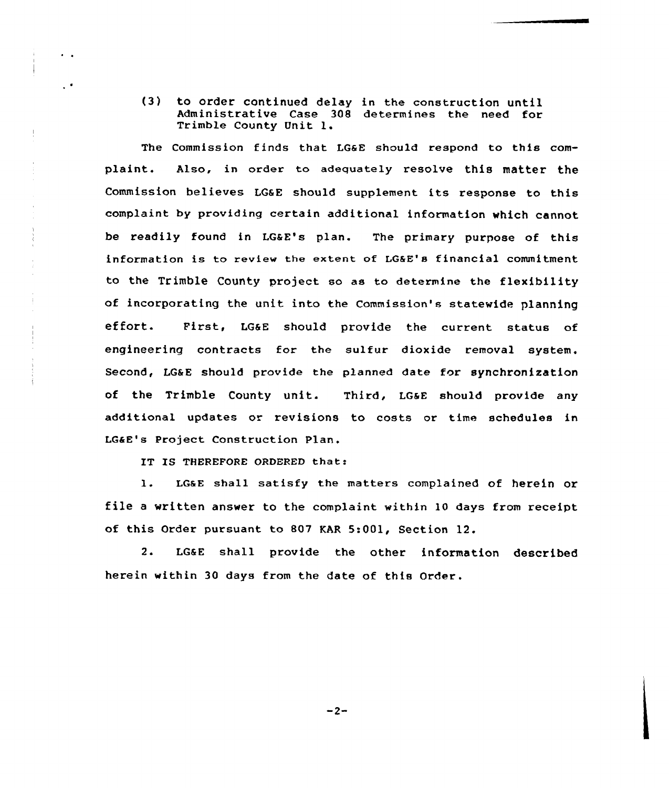(3) to order continued delay in the construction until Administrative Case 308 determines the need for Trimble County Unit l.

The Commission finds that LG&E should respond to this complaint. Also, in order to adequately resolve this matter the Commission believes LGaE should supplement its response to this complaint by providing certain additional information which cannot be readily found in LGaE's plan. The primary purpose of this information is to review the extent of LGRE's financial commitment to the Trimble County project so as to determine the flexibility of incorporating the unit into the Commission's statewide planning effort. First, LGaE should provide the current status of engineering contracts for the sulfur dioxide removal system. Second, LG&E should provide the planned date for synchronization of the Trimble County unit. Third, LGaE should provide any additional updates or revisions to costs or time schedules in LGaE's Project Construction Plan.

IT IS THEREFORE ORDERED that:

 $\ddot{\phantom{a}}$ 

 $\mathbf{r}$ 

Ţ

l. LGaE shall satisfy the matters complained of herein or file <sup>a</sup> written answer to the complaint within 10 days from receipt of this Order pursuant to 807 KAR 5:001, Section 12.

2. LGaE shall provide the other information described herein within 30 days from the date of this Order.

 $-2-$